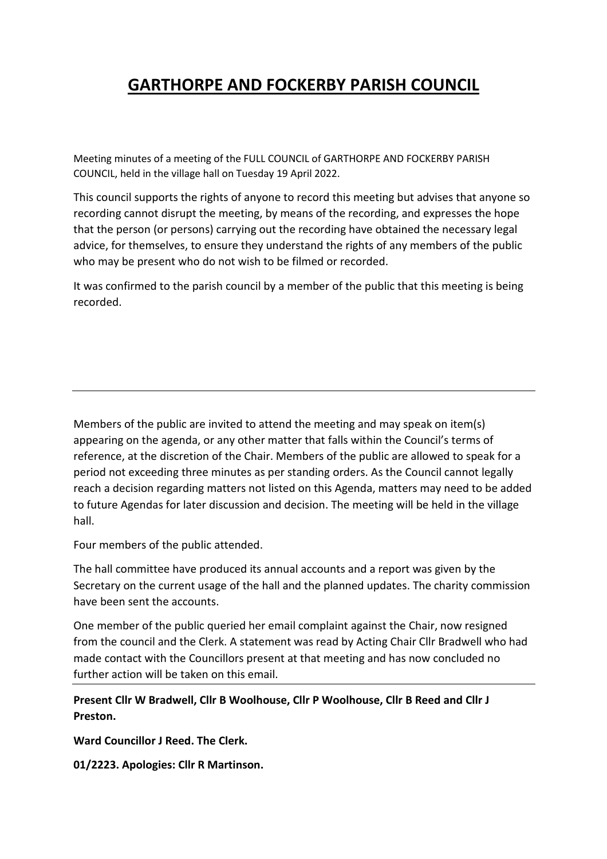# **GARTHORPE AND FOCKERBY PARISH COUNCIL**

Meeting minutes of a meeting of the FULL COUNCIL of GARTHORPE AND FOCKERBY PARISH COUNCIL, held in the village hall on Tuesday 19 April 2022.

This council supports the rights of anyone to record this meeting but advises that anyone so recording cannot disrupt the meeting, by means of the recording, and expresses the hope that the person (or persons) carrying out the recording have obtained the necessary legal advice, for themselves, to ensure they understand the rights of any members of the public who may be present who do not wish to be filmed or recorded.

It was confirmed to the parish council by a member of the public that this meeting is being recorded.

Members of the public are invited to attend the meeting and may speak on item(s) appearing on the agenda, or any other matter that falls within the Council's terms of reference, at the discretion of the Chair. Members of the public are allowed to speak for a period not exceeding three minutes as per standing orders. As the Council cannot legally reach a decision regarding matters not listed on this Agenda, matters may need to be added to future Agendas for later discussion and decision. The meeting will be held in the village hall.

Four members of the public attended.

The hall committee have produced its annual accounts and a report was given by the Secretary on the current usage of the hall and the planned updates. The charity commission have been sent the accounts.

One member of the public queried her email complaint against the Chair, now resigned from the council and the Clerk. A statement was read by Acting Chair Cllr Bradwell who had made contact with the Councillors present at that meeting and has now concluded no further action will be taken on this email.

**Present Cllr W Bradwell, Cllr B Woolhouse, Cllr P Woolhouse, Cllr B Reed and Cllr J Preston.** 

**Ward Councillor J Reed. The Clerk.** 

**01/2223. Apologies: Cllr R Martinson.**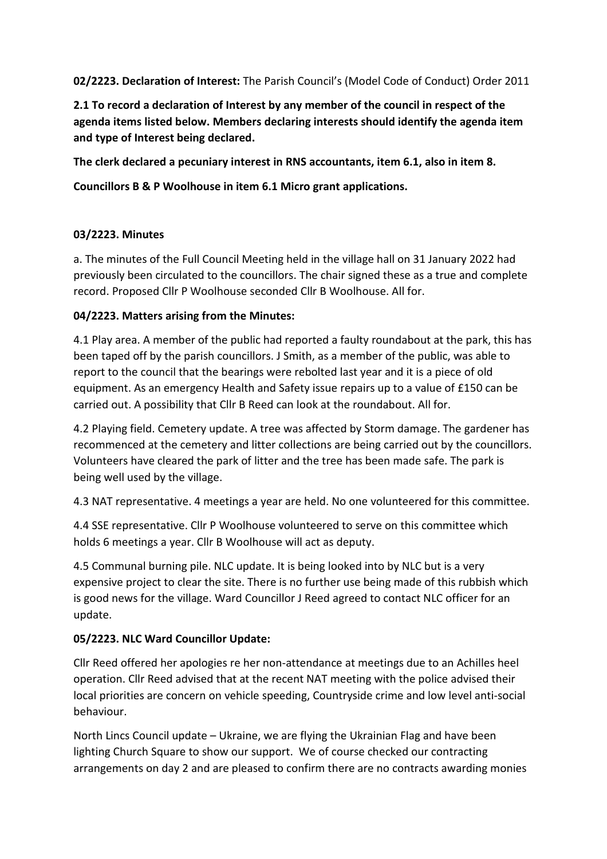**02/2223. Declaration of Interest:** The Parish Council's (Model Code of Conduct) Order 2011

**2.1 To record a declaration of Interest by any member of the council in respect of the agenda items listed below. Members declaring interests should identify the agenda item and type of Interest being declared.** 

**The clerk declared a pecuniary interest in RNS accountants, item 6.1, also in item 8.** 

**Councillors B & P Woolhouse in item 6.1 Micro grant applications.** 

## **03/2223. Minutes**

a. The minutes of the Full Council Meeting held in the village hall on 31 January 2022 had previously been circulated to the councillors. The chair signed these as a true and complete record. Proposed Cllr P Woolhouse seconded Cllr B Woolhouse. All for.

## **04/2223. Matters arising from the Minutes:**

4.1 Play area. A member of the public had reported a faulty roundabout at the park, this has been taped off by the parish councillors. J Smith, as a member of the public, was able to report to the council that the bearings were rebolted last year and it is a piece of old equipment. As an emergency Health and Safety issue repairs up to a value of £150 can be carried out. A possibility that Cllr B Reed can look at the roundabout. All for.

4.2 Playing field. Cemetery update. A tree was affected by Storm damage. The gardener has recommenced at the cemetery and litter collections are being carried out by the councillors. Volunteers have cleared the park of litter and the tree has been made safe. The park is being well used by the village.

4.3 NAT representative. 4 meetings a year are held. No one volunteered for this committee.

4.4 SSE representative. Cllr P Woolhouse volunteered to serve on this committee which holds 6 meetings a year. Cllr B Woolhouse will act as deputy.

4.5 Communal burning pile. NLC update. It is being looked into by NLC but is a very expensive project to clear the site. There is no further use being made of this rubbish which is good news for the village. Ward Councillor J Reed agreed to contact NLC officer for an update.

# **05/2223. NLC Ward Councillor Update:**

Cllr Reed offered her apologies re her non-attendance at meetings due to an Achilles heel operation. Cllr Reed advised that at the recent NAT meeting with the police advised their local priorities are concern on vehicle speeding, Countryside crime and low level anti-social behaviour.

North Lincs Council update – Ukraine, we are flying the Ukrainian Flag and have been lighting Church Square to show our support. We of course checked our contracting arrangements on day 2 and are pleased to confirm there are no contracts awarding monies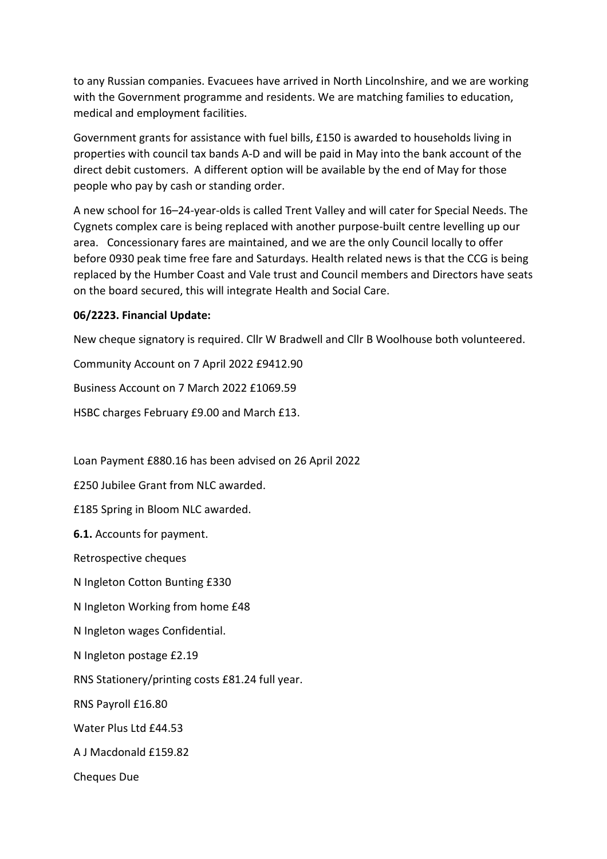to any Russian companies. Evacuees have arrived in North Lincolnshire, and we are working with the Government programme and residents. We are matching families to education, medical and employment facilities.

Government grants for assistance with fuel bills, £150 is awarded to households living in properties with council tax bands A-D and will be paid in May into the bank account of the direct debit customers. A different option will be available by the end of May for those people who pay by cash or standing order.

A new school for 16–24-year-olds is called Trent Valley and will cater for Special Needs. The Cygnets complex care is being replaced with another purpose-built centre levelling up our area. Concessionary fares are maintained, and we are the only Council locally to offer before 0930 peak time free fare and Saturdays. Health related news is that the CCG is being replaced by the Humber Coast and Vale trust and Council members and Directors have seats on the board secured, this will integrate Health and Social Care.

#### **06/2223. Financial Update:**

New cheque signatory is required. Cllr W Bradwell and Cllr B Woolhouse both volunteered.

Community Account on 7 April 2022 £9412.90 Business Account on 7 March 2022 £1069.59 HSBC charges February £9.00 and March £13.

Loan Payment £880.16 has been advised on 26 April 2022

£250 Jubilee Grant from NLC awarded.

£185 Spring in Bloom NLC awarded.

**6.1.** Accounts for payment.

Retrospective cheques

N Ingleton Cotton Bunting £330

N Ingleton Working from home £48

N Ingleton wages Confidential.

N Ingleton postage £2.19

RNS Stationery/printing costs £81.24 full year.

RNS Payroll £16.80

Water Plus Ltd £44.53

A J Macdonald £159.82

Cheques Due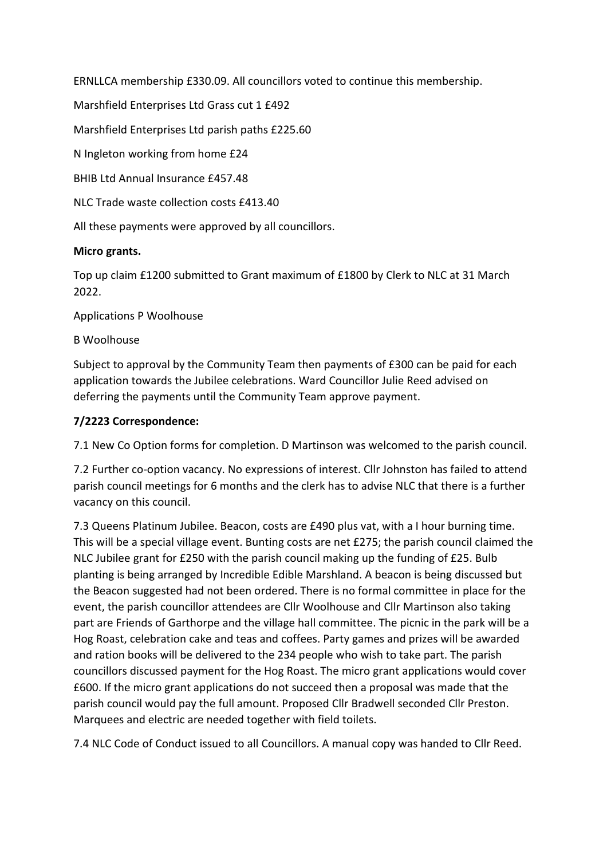ERNLLCA membership £330.09. All councillors voted to continue this membership.

Marshfield Enterprises Ltd Grass cut 1 £492

Marshfield Enterprises Ltd parish paths £225.60

N Ingleton working from home £24

BHIB Ltd Annual Insurance £457.48

NLC Trade waste collection costs £413.40

All these payments were approved by all councillors.

#### **Micro grants.**

Top up claim £1200 submitted to Grant maximum of £1800 by Clerk to NLC at 31 March 2022.

Applications P Woolhouse

B Woolhouse

Subject to approval by the Community Team then payments of £300 can be paid for each application towards the Jubilee celebrations. Ward Councillor Julie Reed advised on deferring the payments until the Community Team approve payment.

#### **7/2223 Correspondence:**

7.1 New Co Option forms for completion. D Martinson was welcomed to the parish council.

7.2 Further co-option vacancy. No expressions of interest. Cllr Johnston has failed to attend parish council meetings for 6 months and the clerk has to advise NLC that there is a further vacancy on this council.

7.3 Queens Platinum Jubilee. Beacon, costs are £490 plus vat, with a I hour burning time. This will be a special village event. Bunting costs are net £275; the parish council claimed the NLC Jubilee grant for £250 with the parish council making up the funding of £25. Bulb planting is being arranged by Incredible Edible Marshland. A beacon is being discussed but the Beacon suggested had not been ordered. There is no formal committee in place for the event, the parish councillor attendees are Cllr Woolhouse and Cllr Martinson also taking part are Friends of Garthorpe and the village hall committee. The picnic in the park will be a Hog Roast, celebration cake and teas and coffees. Party games and prizes will be awarded and ration books will be delivered to the 234 people who wish to take part. The parish councillors discussed payment for the Hog Roast. The micro grant applications would cover £600. If the micro grant applications do not succeed then a proposal was made that the parish council would pay the full amount. Proposed Cllr Bradwell seconded Cllr Preston. Marquees and electric are needed together with field toilets.

7.4 NLC Code of Conduct issued to all Councillors. A manual copy was handed to Cllr Reed.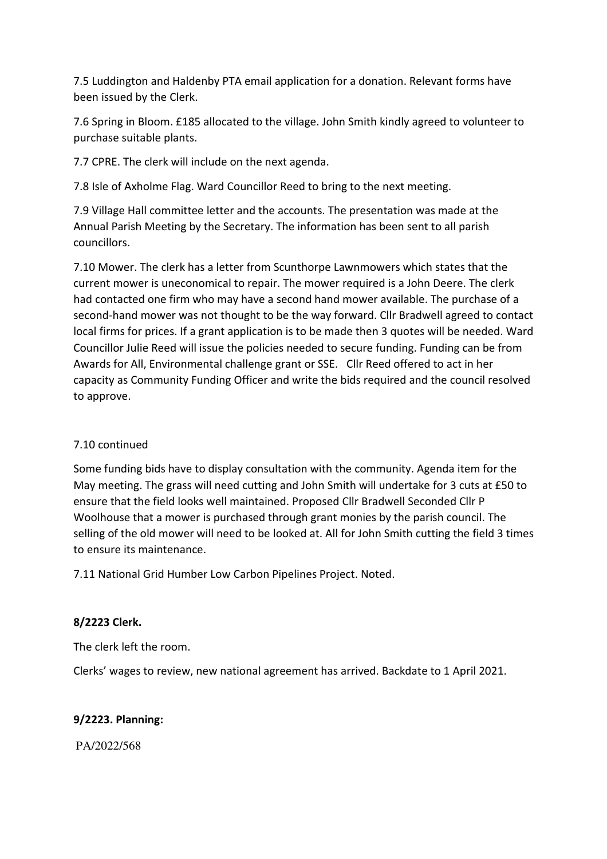7.5 Luddington and Haldenby PTA email application for a donation. Relevant forms have been issued by the Clerk.

7.6 Spring in Bloom. £185 allocated to the village. John Smith kindly agreed to volunteer to purchase suitable plants.

7.7 CPRE. The clerk will include on the next agenda.

7.8 Isle of Axholme Flag. Ward Councillor Reed to bring to the next meeting.

7.9 Village Hall committee letter and the accounts. The presentation was made at the Annual Parish Meeting by the Secretary. The information has been sent to all parish councillors.

7.10 Mower. The clerk has a letter from Scunthorpe Lawnmowers which states that the current mower is uneconomical to repair. The mower required is a John Deere. The clerk had contacted one firm who may have a second hand mower available. The purchase of a second-hand mower was not thought to be the way forward. Cllr Bradwell agreed to contact local firms for prices. If a grant application is to be made then 3 quotes will be needed. Ward Councillor Julie Reed will issue the policies needed to secure funding. Funding can be from Awards for All, Environmental challenge grant or SSE. Cllr Reed offered to act in her capacity as Community Funding Officer and write the bids required and the council resolved to approve.

#### 7.10 continued

Some funding bids have to display consultation with the community. Agenda item for the May meeting. The grass will need cutting and John Smith will undertake for 3 cuts at £50 to ensure that the field looks well maintained. Proposed Cllr Bradwell Seconded Cllr P Woolhouse that a mower is purchased through grant monies by the parish council. The selling of the old mower will need to be looked at. All for John Smith cutting the field 3 times to ensure its maintenance.

7.11 National Grid Humber Low Carbon Pipelines Project. Noted.

# **8/2223 Clerk.**

The clerk left the room.

Clerks' wages to review, new national agreement has arrived. Backdate to 1 April 2021.

# **9/2223. Planning:**

PA/2022/568